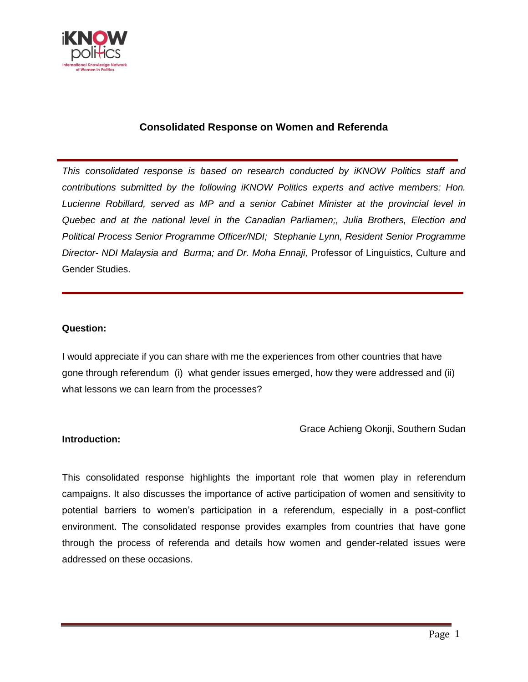

# **Consolidated Response on Women and Referenda**

*This consolidated response is based on research conducted by iKNOW Politics staff and contributions submitted by the following iKNOW Politics experts and active members: Hon. Lucienne Robillard, served as MP and a senior Cabinet Minister at the provincial level in Quebec and at the national level in the Canadian Parliamen;, Julia Brothers, Election and Political Process Senior Programme Officer/NDI; Stephanie Lynn, Resident Senior Programme Director- NDI Malaysia and Burma; and Dr. Moha Ennaji,* Professor of Linguistics, Culture and Gender Studies.

### **Question:**

I would appreciate if you can share with me the experiences from other countries that have gone through referendum (i) what gender issues emerged, how they were addressed and (ii) what lessons we can learn from the processes?

### Grace Achieng Okonji, Southern Sudan

#### **Introduction:**

This consolidated response highlights the important role that women play in referendum campaigns. It also discusses the importance of active participation of women and sensitivity to potential barriers to women's participation in a referendum, especially in a post-conflict environment. The consolidated response provides examples from countries that have gone through the process of referenda and details how women and gender-related issues were addressed on these occasions.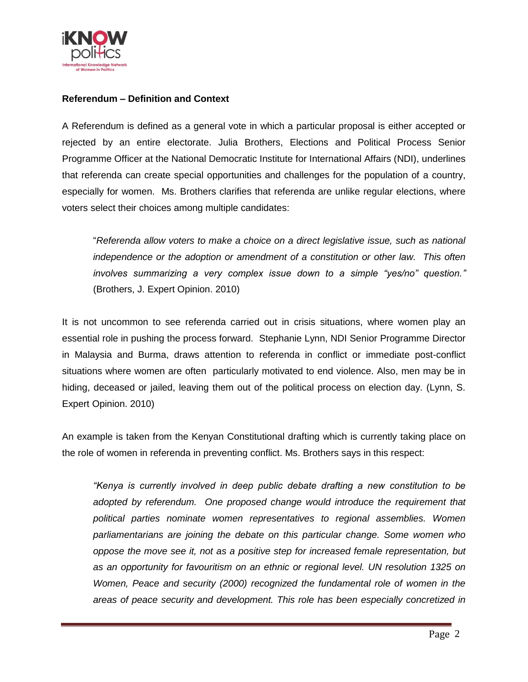

# **Referendum – Definition and Context**

A Referendum is defined as a general vote in which a particular proposal is either accepted or rejected by an entire electorate. Julia Brothers, Elections and Political Process Senior Programme Officer at the National Democratic Institute for International Affairs (NDI), underlines that referenda can create special opportunities and challenges for the population of a country, especially for women. Ms. Brothers clarifies that referenda are unlike regular elections, where voters select their choices among multiple candidates:

"*Referenda allow voters to make a choice on a direct legislative issue, such as national independence or the adoption or amendment of a constitution or other law. This often involves summarizing a very complex issue down to a simple "yes/no" question."* (Brothers, J. Expert Opinion. 2010)

It is not uncommon to see referenda carried out in crisis situations, where women play an essential role in pushing the process forward. Stephanie Lynn, NDI Senior Programme Director in Malaysia and Burma, draws attention to referenda in conflict or immediate post-conflict situations where women are often particularly motivated to end violence. Also, men may be in hiding, deceased or jailed, leaving them out of the political process on election day. (Lynn, S. Expert Opinion. 2010)

An example is taken from the Kenyan Constitutional drafting which is currently taking place on the role of women in referenda in preventing conflict. Ms. Brothers says in this respect:

*"Kenya is currently involved in deep public debate drafting a new constitution to be adopted by referendum. One proposed change would introduce the requirement that political parties nominate women representatives to regional assemblies. Women parliamentarians are joining the debate on this particular change. Some women who oppose the move see it, not as a positive step for increased female representation, but as an opportunity for favouritism on an ethnic or regional level. UN resolution 1325 on Women, Peace and security (2000) recognized the fundamental role of women in the areas of peace security and development. This role has been especially concretized in*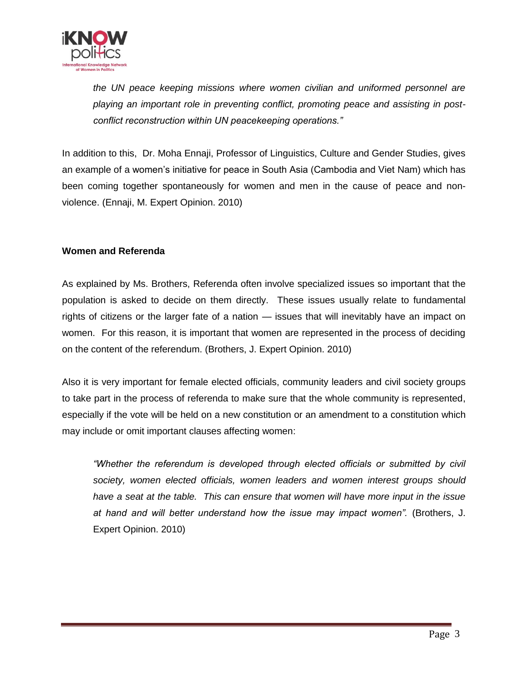

*the UN peace keeping missions where women civilian and uniformed personnel are playing an important role in preventing conflict, promoting peace and assisting in postconflict reconstruction within UN peacekeeping operations."* 

In addition to this, Dr. Moha Ennaji, Professor of Linguistics, Culture and Gender Studies, gives an example of a women's initiative for peace in South Asia (Cambodia and Viet Nam) which has been coming together spontaneously for women and men in the cause of peace and nonviolence. (Ennaji, M. Expert Opinion. 2010)

## **Women and Referenda**

As explained by Ms. Brothers, Referenda often involve specialized issues so important that the population is asked to decide on them directly. These issues usually relate to fundamental rights of citizens or the larger fate of a nation — issues that will inevitably have an impact on women. For this reason, it is important that women are represented in the process of deciding on the content of the referendum. (Brothers, J. Expert Opinion. 2010)

Also it is very important for female elected officials, community leaders and civil society groups to take part in the process of referenda to make sure that the whole community is represented, especially if the vote will be held on a new constitution or an amendment to a constitution which may include or omit important clauses affecting women:

*"Whether the referendum is developed through elected officials or submitted by civil society, women elected officials, women leaders and women interest groups should have a seat at the table. This can ensure that women will have more input in the issue at hand and will better understand how the issue may impact women".* (Brothers, J. Expert Opinion. 2010)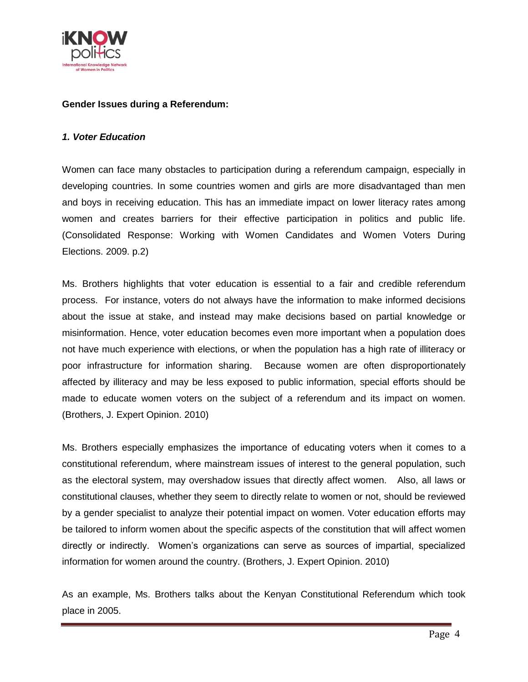

### **Gender Issues during a Referendum:**

#### *1. Voter Education*

Women can face many obstacles to participation during a referendum campaign, especially in developing countries. In some countries women and girls are more disadvantaged than men and boys in receiving education. This has an immediate impact on lower literacy rates among women and creates barriers for their effective participation in politics and public life. (Consolidated Response: Working with Women Candidates and Women Voters During Elections. 2009. p.2)

Ms. Brothers highlights that voter education is essential to a fair and credible referendum process. For instance, voters do not always have the information to make informed decisions about the issue at stake, and instead may make decisions based on partial knowledge or misinformation. Hence, voter education becomes even more important when a population does not have much experience with elections, or when the population has a high rate of illiteracy or poor infrastructure for information sharing. Because women are often disproportionately affected by illiteracy and may be less exposed to public information, special efforts should be made to educate women voters on the subject of a referendum and its impact on women. (Brothers, J. Expert Opinion. 2010)

Ms. Brothers especially emphasizes the importance of educating voters when it comes to a constitutional referendum, where mainstream issues of interest to the general population, such as the electoral system, may overshadow issues that directly affect women. Also, all laws or constitutional clauses, whether they seem to directly relate to women or not, should be reviewed by a gender specialist to analyze their potential impact on women. Voter education efforts may be tailored to inform women about the specific aspects of the constitution that will affect women directly or indirectly. Women's organizations can serve as sources of impartial, specialized information for women around the country. (Brothers, J. Expert Opinion. 2010)

As an example, Ms. Brothers talks about the Kenyan Constitutional Referendum which took place in 2005.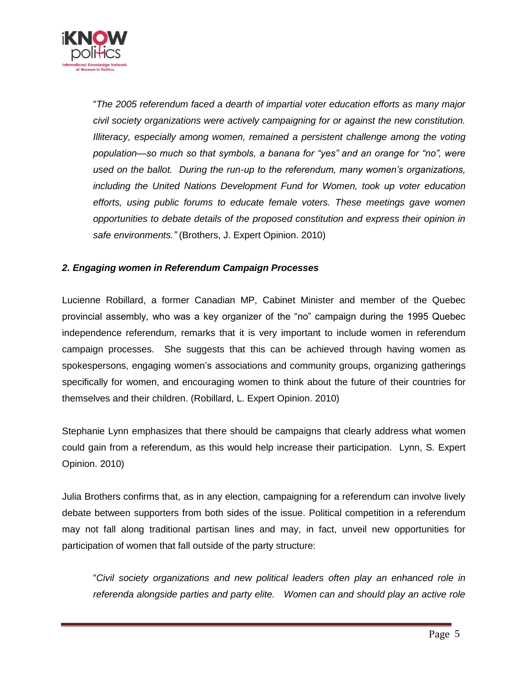

"*The 2005 referendum faced a dearth of impartial voter education efforts as many major civil society organizations were actively campaigning for or against the new constitution. Illiteracy, especially among women, remained a persistent challenge among the voting population—so much so that symbols, a banana for "yes" and an orange for "no", were used on the ballot. During the run-up to the referendum, many women's organizations, including the United Nations Development Fund for Women, took up voter education efforts, using public forums to educate female voters. These meetings gave women opportunities to debate details of the proposed constitution and express their opinion in safe environments."* (Brothers, J. Expert Opinion. 2010)

## *2. Engaging women in Referendum Campaign Processes*

Lucienne Robillard, a former Canadian MP, Cabinet Minister and member of the Quebec provincial assembly, who was a key organizer of the "no" campaign during the 1995 Quebec independence referendum, remarks that it is very important to include women in referendum campaign processes. She suggests that this can be achieved through having women as spokespersons, engaging women's associations and community groups, organizing gatherings specifically for women, and encouraging women to think about the future of their countries for themselves and their children. (Robillard, L. Expert Opinion. 2010)

Stephanie Lynn emphasizes that there should be campaigns that clearly address what women could gain from a referendum, as this would help increase their participation. Lynn, S. Expert Opinion. 2010)

Julia Brothers confirms that, as in any election, campaigning for a referendum can involve lively debate between supporters from both sides of the issue. Political competition in a referendum may not fall along traditional partisan lines and may, in fact, unveil new opportunities for participation of women that fall outside of the party structure:

"*Civil society organizations and new political leaders often play an enhanced role in referenda alongside parties and party elite. Women can and should play an active role*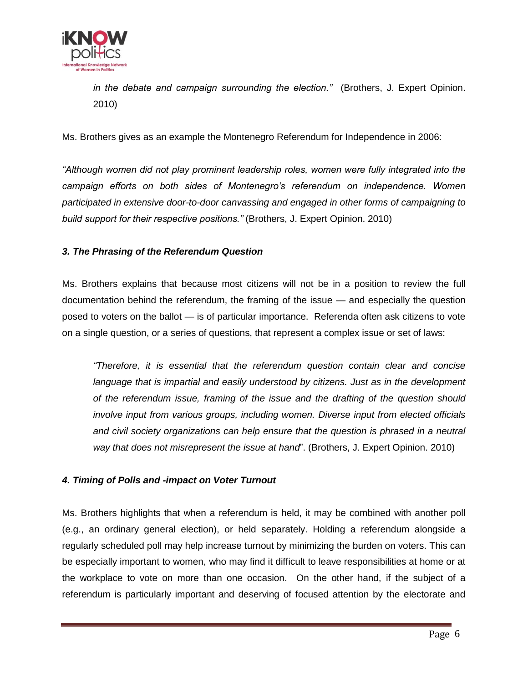

*in the debate and campaign surrounding the election."* (Brothers, J. Expert Opinion. 2010)

Ms. Brothers gives as an example the Montenegro Referendum for Independence in 2006:

*"Although women did not play prominent leadership roles, women were fully integrated into the campaign efforts on both sides of Montenegro's referendum on independence. Women participated in extensive door-to-door canvassing and engaged in other forms of campaigning to build support for their respective positions."* (Brothers, J. Expert Opinion. 2010)

# *3. The Phrasing of the Referendum Question*

Ms. Brothers explains that because most citizens will not be in a position to review the full documentation behind the referendum, the framing of the issue — and especially the question posed to voters on the ballot — is of particular importance. Referenda often ask citizens to vote on a single question, or a series of questions, that represent a complex issue or set of laws:

*"Therefore, it is essential that the referendum question contain clear and concise*  language that is impartial and easily understood by citizens. Just as in the development *of the referendum issue, framing of the issue and the drafting of the question should involve input from various groups, including women. Diverse input from elected officials*  and civil society organizations can help ensure that the question is phrased in a neutral *way that does not misrepresent the issue at hand*". (Brothers, J. Expert Opinion. 2010)

### *4. Timing of Polls and -impact on Voter Turnout*

Ms. Brothers highlights that when a referendum is held, it may be combined with another poll (e.g., an ordinary general election), or held separately. Holding a referendum alongside a regularly scheduled poll may help increase turnout by minimizing the burden on voters. This can be especially important to women, who may find it difficult to leave responsibilities at home or at the workplace to vote on more than one occasion. On the other hand, if the subject of a referendum is particularly important and deserving of focused attention by the electorate and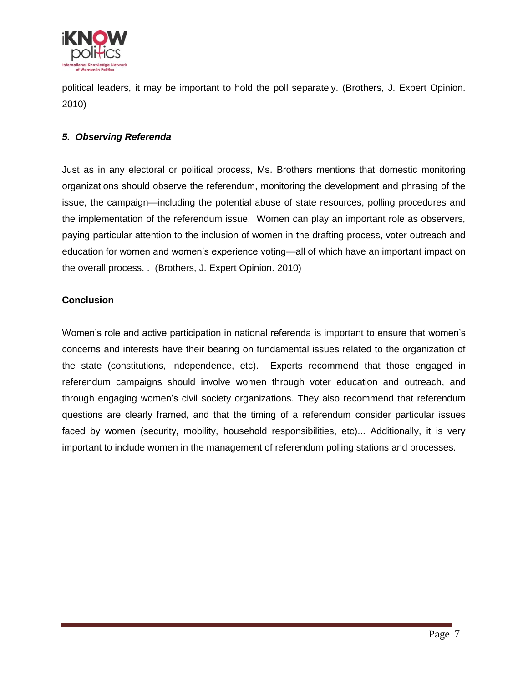

political leaders, it may be important to hold the poll separately. (Brothers, J. Expert Opinion. 2010)

## *5. Observing Referenda*

Just as in any electoral or political process, Ms. Brothers mentions that domestic monitoring organizations should observe the referendum, monitoring the development and phrasing of the issue, the campaign—including the potential abuse of state resources, polling procedures and the implementation of the referendum issue. Women can play an important role as observers, paying particular attention to the inclusion of women in the drafting process, voter outreach and education for women and women's experience voting—all of which have an important impact on the overall process. . (Brothers, J. Expert Opinion. 2010)

## **Conclusion**

Women's role and active participation in national referenda is important to ensure that women's concerns and interests have their bearing on fundamental issues related to the organization of the state (constitutions, independence, etc). Experts recommend that those engaged in referendum campaigns should involve women through voter education and outreach, and through engaging women's civil society organizations. They also recommend that referendum questions are clearly framed, and that the timing of a referendum consider particular issues faced by women (security, mobility, household responsibilities, etc)... Additionally, it is very important to include women in the management of referendum polling stations and processes.